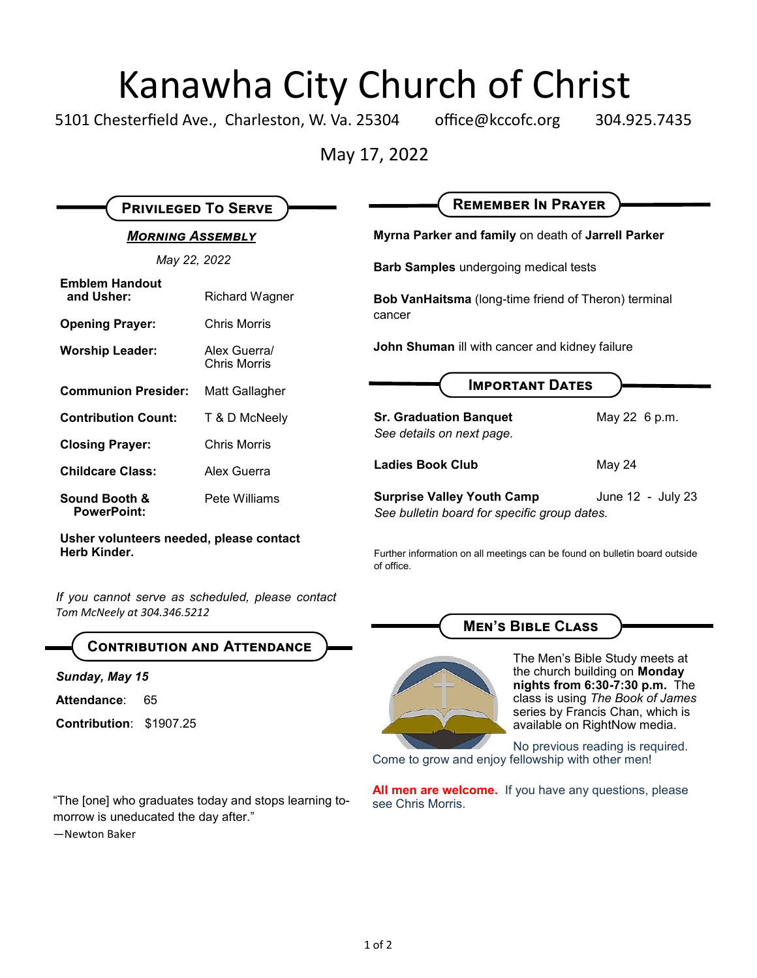# Kanawha City Church of Christ

5101 Chesterfield Ave., Charleston, W. Va. 25304 office@kccofc.org 304.925.7435

May 17, 2022

| <b>PRIVILEGED TO SERVE</b>          |                                     | <b>REMEMBER IN PRAYER</b>                                                         |                   |
|-------------------------------------|-------------------------------------|-----------------------------------------------------------------------------------|-------------------|
| <b>MORNING ASSEMBLY</b>             |                                     | Myrna Parker and family on death of Jarrell Parker                                |                   |
| May 22, 2022                        |                                     | <b>Barb Samples</b> undergoing medical tests                                      |                   |
| <b>Emblem Handout</b><br>and Usher: | <b>Richard Wagner</b>               | <b>Bob VanHaitsma</b> (long-time friend of Theron) terminal<br>cancer             |                   |
| <b>Opening Prayer:</b>              | <b>Chris Morris</b>                 |                                                                                   |                   |
| <b>Worship Leader:</b>              | Alex Guerral<br><b>Chris Morris</b> | John Shuman ill with cancer and kidney failure                                    |                   |
| <b>Communion Presider:</b>          | Matt Gallagher                      | <b>IMPORTANT DATES</b>                                                            |                   |
| <b>Contribution Count:</b>          | T & D McNeely                       | <b>Sr. Graduation Banquet</b><br>See details on next page.                        | May 22 6 p.m.     |
| <b>Closing Prayer:</b>              | <b>Chris Morris</b>                 |                                                                                   |                   |
| <b>Childcare Class:</b>             | Alex Guerra                         | <b>Ladies Book Club</b>                                                           | May 24            |
| Sound Booth &<br><b>PowerPoint:</b> | Pete Williams                       | <b>Surprise Valley Youth Camp</b><br>See bulletin board for specific group dates. | June 12 - July 23 |

of office.

**Usher volunteers needed, please contact Herb Kinder.**

*If you cannot serve as scheduled, please contact Tom McNeely at 304.346.5212*

## **Contribution and Attendance**

#### *Sunday, May 15*

**Attendance**: 65

**Contribution**: \$1907.25

"The [one] who graduates today and stops learning tomorrow is uneducated the day after."

—Newton Baker

**Men's Bible Class**

Further information on all meetings can be found on bulletin board outside



The Men's Bible Study meets at the church building on **Monday nights from 6:30-7:30 p.m.** The class is using *The Book of James*  series by Francis Chan, which is available on RightNow media.

No previous reading is required. Come to grow and enjoy fellowship with other men!

**All men are welcome.** If you have any questions, please see Chris Morris.